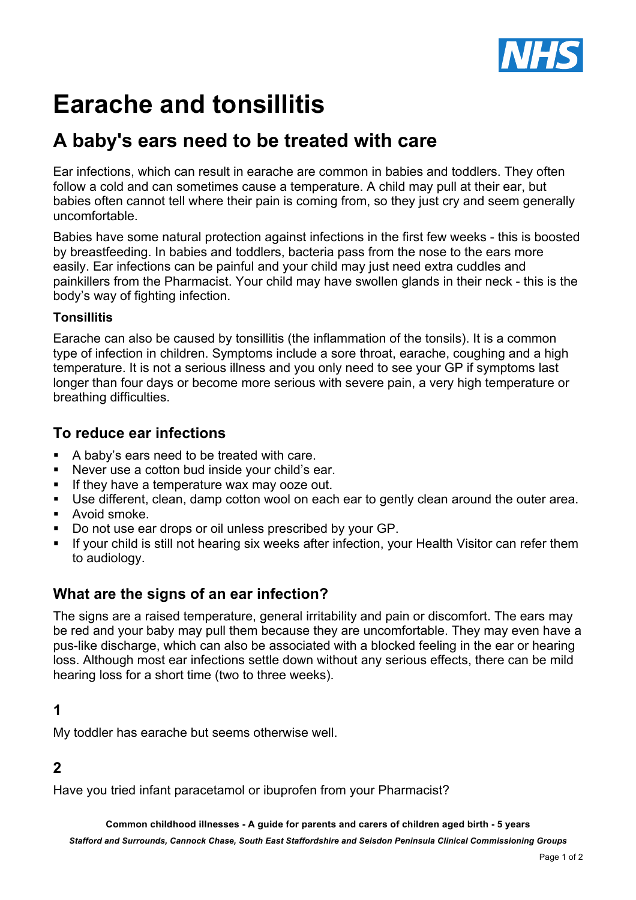

# **Earache and tonsillitis**

# **A baby's ears need to be treated with care**

Ear infections, which can result in earache are common in babies and toddlers. They often follow a cold and can sometimes cause a temperature. A child may pull at their ear, but babies often cannot tell where their pain is coming from, so they just cry and seem generally uncomfortable.

Babies have some natural protection against infections in the first few weeks - this is boosted by breastfeeding. In babies and toddlers, bacteria pass from the nose to the ears more easily. Ear infections can be painful and your child may just need extra cuddles and painkillers from the Pharmacist. Your child may have swollen glands in their neck - this is the body's way of fighting infection.

#### **Tonsillitis**

Earache can also be caused by tonsillitis (the inflammation of the tonsils). It is a common type of infection in children. Symptoms include a sore throat, earache, coughing and a high temperature. It is not a serious illness and you only need to see your GP if symptoms last longer than four days or become more serious with severe pain, a very high temperature or breathing difficulties.

# **To reduce ear infections**

- ! A baby's ears need to be treated with care.
- ! Never use a cotton bud inside your child's ear.
- ! If they have a temperature wax may ooze out.
- ! Use different, clean, damp cotton wool on each ear to gently clean around the outer area.
- Avoid smoke.
- ! Do not use ear drops or oil unless prescribed by your GP.
- ! If your child is still not hearing six weeks after infection, your Health Visitor can refer them to audiology.

# **What are the signs of an ear infection?**

The signs are a raised temperature, general irritability and pain or discomfort. The ears may be red and your baby may pull them because they are uncomfortable. They may even have a pus-like discharge, which can also be associated with a blocked feeling in the ear or hearing loss. Although most ear infections settle down without any serious effects, there can be mild hearing loss for a short time (two to three weeks).

# **1**

My toddler has earache but seems otherwise well.

# **2**

Have you tried infant paracetamol or ibuprofen from your Pharmacist?